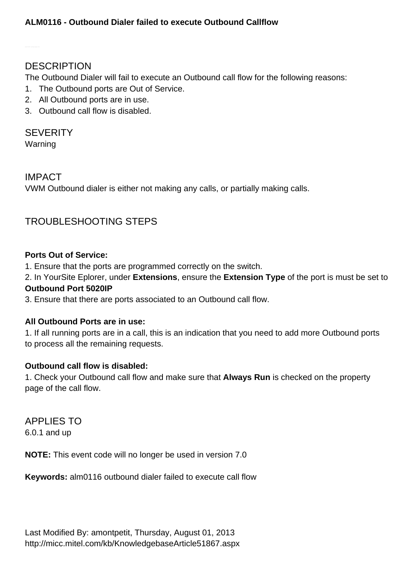# **DESCRIPTION**

The Outbound Dialer will fail to execute an Outbound call flow for the following reasons:

- 1. The Outbound ports are Out of Service.
- 2. All Outbound ports are in use.
- 3. Outbound call flow is disabled.

# **SEVERITY**

Warning

# IMPACT

VWM Outbound dialer is either not making any calls, or partially making calls.

# TROUBLESHOOTING STEPS

#### **Ports Out of Service:**

1. Ensure that the ports are programmed correctly on the switch.

2. In YourSite Eplorer, under **Extensions**, ensure the **Extension Type** of the port is must be set to **Outbound Port 5020IP**

3. Ensure that there are ports associated to an Outbound call flow.

# **All Outbound Ports are in use:**

1. If all running ports are in a call, this is an indication that you need to add more Outbound ports to process all the remaining requests.

# **Outbound call flow is disabled:**

1. Check your Outbound call flow and make sure that **Always Run** is checked on the property page of the call flow.

# APPLIES TO

6.0.1 and up

**NOTE:** This event code will no longer be used in version 7.0

**Keywords:** alm0116 outbound dialer failed to execute call flow

Last Modified By: amontpetit, Thursday, August 01, 2013 <http://micc.mitel.com/kb/KnowledgebaseArticle51867.aspx>